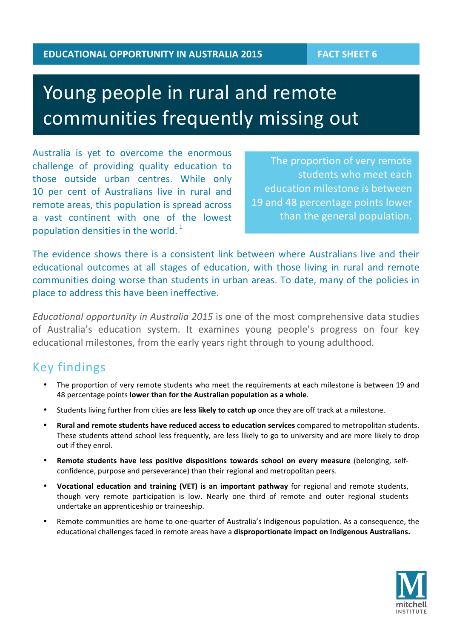# Young people in rural and remote communities frequently missing out

Australia is yet to overcome the enormous challenge of providing quality education to those outside urban centres. While only 10 per cent of Australians live in rural and remote areas, this population is spread across a vast continent with one of the lowest population densities in the world.  $1$ 

The proportion of very remote students who meet each education milestone is between 19 and 48 percentage points lower than the general population.

The evidence shows there is a consistent link between where Australians live and their educational outcomes at all stages of education, with those living in rural and remote communities doing worse than students in urban areas. To date, many of the policies in place to address this have been ineffective.

*Educational opportunity in Australia 2015* is one of the most comprehensive data studies of Australia's education system. It examines young people's progress on four key educational milestones, from the early years right through to young adulthood.

### Key findings

- The proportion of very remote students who meet the requirements at each milestone is between 19 and 48 percentage points **lower than for the Australian population as a whole**.
- Students living further from cities are less likely to catch up once they are off track at a milestone.
- Rural and remote students have reduced access to education services compared to metropolitan students. These students attend school less frequently, are less likely to go to university and are more likely to drop out if they enrol.
- Remote students have less positive dispositions towards school on every measure (belonging, selfconfidence, purpose and perseverance) than their regional and metropolitan peers.
- Vocational education and training (VET) is an important pathway for regional and remote students, though very remote participation is low. Nearly one third of remote and outer regional students undertake an apprenticeship or traineeship.
- Remote communities are home to one-quarter of Australia's Indigenous population. As a consequence, the educational challenges faced in remote areas have a **disproportionate impact on Indigenous Australians.**

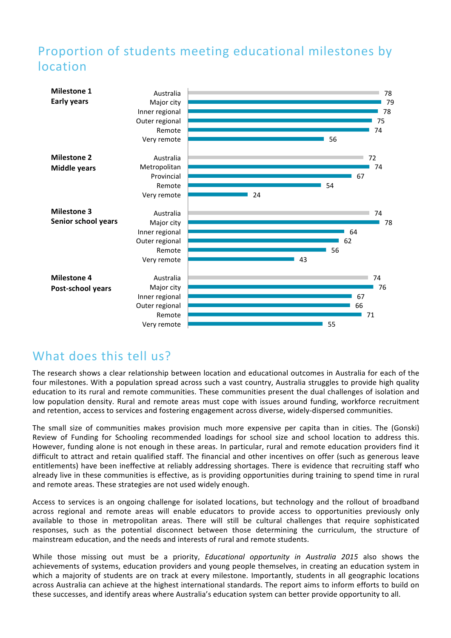# Proportion of students meeting educational milestones by location



### What does this tell us?

The research shows a clear relationship between location and educational outcomes in Australia for each of the four milestones. With a population spread across such a vast country, Australia struggles to provide high quality education to its rural and remote communities. These communities present the dual challenges of isolation and low population density. Rural and remote areas must cope with issues around funding, workforce recruitment and retention, access to services and fostering engagement across diverse, widely-dispersed communities.

The small size of communities makes provision much more expensive per capita than in cities. The (Gonski) Review of Funding for Schooling recommended loadings for school size and school location to address this. However, funding alone is not enough in these areas. In particular, rural and remote education providers find it difficult to attract and retain qualified staff. The financial and other incentives on offer (such as generous leave entitlements) have been ineffective at reliably addressing shortages. There is evidence that recruiting staff who already live in these communities is effective, as is providing opportunities during training to spend time in rural and remote areas. These strategies are not used widely enough.

Access to services is an ongoing challenge for isolated locations, but technology and the rollout of broadband across regional and remote areas will enable educators to provide access to opportunities previously only available to those in metropolitan areas. There will still be cultural challenges that require sophisticated responses, such as the potential disconnect between those determining the curriculum, the structure of mainstream education, and the needs and interests of rural and remote students.

While those missing out must be a priority, *Educational opportunity in Australia 2015* also shows the achievements of systems, education providers and young people themselves, in creating an education system in which a majority of students are on track at every milestone. Importantly, students in all geographic locations across Australia can achieve at the highest international standards. The report aims to inform efforts to build on these successes, and identify areas where Australia's education system can better provide opportunity to all.